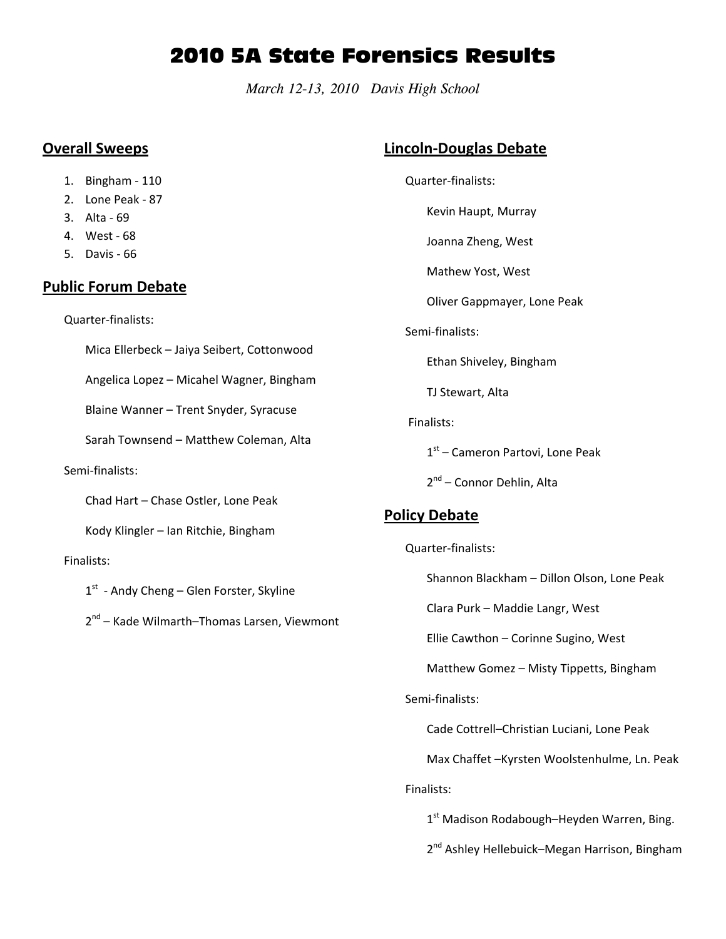# 2010 5A State Forensics Results

*March 12-13, 2010 Davis High School* 

## **Overall Sweeps**

- 1. Bingham ‐ 110
- 2. Lone Peak ‐ 87
- 3. Alta ‐ 69
- 4. West ‐ 68
- 5. Davis ‐ 66

## **Public Forum Debate**

Quarter‐finalists:

Mica Ellerbeck – Jaiya Seibert, Cottonwood

Angelica Lopez – Micahel Wagner, Bingham

Blaine Wanner – Trent Snyder, Syracuse

Sarah Townsend – Matthew Coleman, Alta

Semi‐finalists:

Chad Hart – Chase Ostler, Lone Peak

Kody Klingler – Ian Ritchie, Bingham

#### Finalists:

 $1<sup>st</sup>$  - Andy Cheng – Glen Forster, Skyline

2<sup>nd</sup> – Kade Wilmarth–Thomas Larsen, Viewmont

#### **Lincoln‐Douglas Debate**

Quarter‐finalists:

Kevin Haupt, Murray

Joanna Zheng, West

Mathew Yost, West

Oliver Gappmayer, Lone Peak

Semi-finalists:

Ethan Shiveley, Bingham

TJ Stewart, Alta

Finalists:

1<sup>st</sup> – Cameron Partovi, Lone Peak

2<sup>nd</sup> – Connor Dehlin, Alta

## **Policy Debate**

Quarter‐finalists:

Shannon Blackham – Dillon Olson, Lone Peak

Clara Purk – Maddie Langr, West

Ellie Cawthon – Corinne Sugino, West

Matthew Gomez – Misty Tippetts, Bingham

Semi-finalists:

Cade Cottrell–Christian Luciani, Lone Peak

Max Chaffet –Kyrsten Woolstenhulme, Ln. Peak

Finalists:

1<sup>st</sup> Madison Rodabough–Heyden Warren, Bing.

2<sup>nd</sup> Ashley Hellebuick–Megan Harrison, Bingham